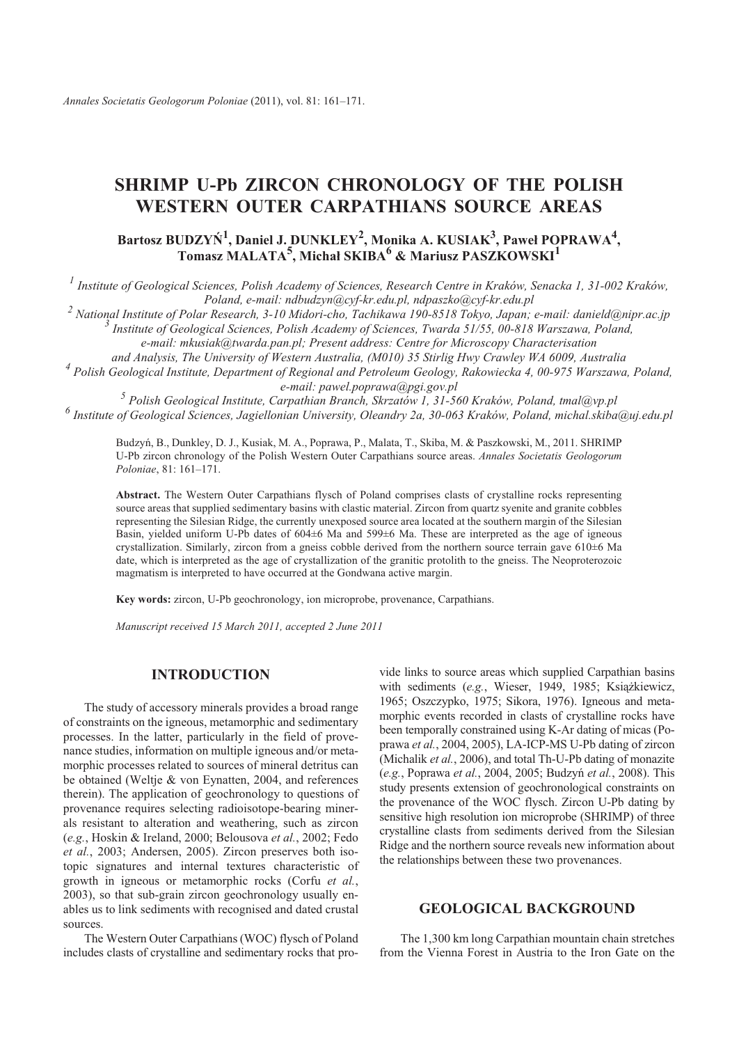## **SHRIMP U-Pb ZIRCON CHRONOLOGY OF THE POLISH WESTERN OUTER CARPATHIANS SOURCE AREAS**

## $\text{Bartosz } \text{BUDZY}\hat{N}^1, \text{ Daniel J. DUNKLEY}^2, \text{ Monika A. KUSIAK}^3, \text{ Pawel } \text{POPRAWA}^4,$  $\mathbf{Tomasz}\ \mathbf{MALATA}^{\mathbf{5}}, \mathbf{Michael}\ \mathbf{SKIBA}^{\mathbf{6}} \ \&\ \mathbf{Mariusz}\ \mathbf{PASZ} \mathbf{KOWSKI}^{\mathbf{1}}$

<sup>1</sup> Institute of Geological Sciences, Polish Academy of Sciences, Research Centre in Kraków, Senacka 1, 31-002 Kraków, *Po land, e- mail: ndbudzyn@cyf- kr.edu.pl, ndpaszko@cyf- kr.edu.pl*

<sup>2</sup> National Institute of Polar Research, 3-10 Midori-cho, Tachikawa 190-8518 Tokyo, Japan; e-mail: danield@nipr.ac.jp <sup>3</sup> Institute of Geological Sciences, Polish Academy of Sciences, Twarda 51/55, 00-818 Warszawa, Poland,

*e- mail: mku siak@twarda.pan.pl; Present address: Centre for Microscopy Characterisation*

*and Analysis, The University of Western Australia, (M010) 35 Stirlig Hwy Crawley WA 6009, Australia* <sup>4</sup> Polish Geological Institute, Department of Regional and Petroleum Geology, Rakowiecka 4, 00-975 Warszawa, Poland, *e- mail: pawel.po prawa@pgi.gov.pl*

<sup>5</sup> Polish Geological Institute, Carpathian Branch, Skrzatów 1, 31-560 Kraków, Poland, tmal@vp.pl *6 In sti tute of Geo logi cal Sci ences, Jagiel lo nian Uni ver sity, Ole an dry 2a, 30- 063 Kraków, Po land, mi chal.skiba@uj.edu.pl*

Budzyń, B., Dunkley, D. J., Kusiak, M. A., Poprawa, P., Malata, T., Skiba, M. & Paszkowski, M., 2011. SHRIMP U-Pb zircon chronology of the Polish Western Outer Carpathians source areas. *Annales Societatis Geologorum Po lo niae*, 81: 161–171.

Abstract. The Western Outer Carpathians flysch of Poland comprises clasts of crystalline rocks representing source areas that supplied sedimentary basins with clastic material. Zircon from quartz syenite and granite cobbles representing the Silesian Ridge, the currently unexposed source area located at the southern margin of the Silesian Basin, yielded uniform U-Pb dates of 604±6 Ma and 599±6 Ma. These are interpreted as the age of igneous crystallization. Similarly, zircon from a gneiss cobble derived from the northern source terrain gave 610±6 Ma date, which is interpreted as the age of crystallization of the granitic protolith to the gneiss. The Neoproterozoic magmatism is interpreted to have occurred at the Gondwana active margin.

**Key words:** zircon, U-Pb geochronology, ion microprobe, provenance, Carpathians.

*Manu script re ceived 15 March 2011, ac cepted 2 June 2011*

### **INTRODUCTION**

The study of accessory minerals provides a broad range of constraints on the igneous, metamorphic and sedimentary processes. In the latter, particularly in the field of provenance studies, information on multiple igneous and/or metamorphic processes related to sources of mineral detritus can be obtained (Weltje  $&$  von Eynatten, 2004, and references therein). The application of geochronology to questions of provenance requires selecting radioisotope-bearing minerals resistant to alteration and weathering, such as zircon (*e.g.*, Ho skin & Ire land, 2000; Belou sova *et al.*, 2002; Fedo *et al.*, 2003; Andersen, 2005). Zircon preserves both isotopic signatures and internal textures characteristic of growth in igneous or metamorphic rocks (Corfu *et al.*, 2003), so that sub-grain zircon geochronology usually enables us to link sediments with recognised and dated crustal sources.

The Western Outer Carpathians (WOC) flysch of Poland includes clasts of crystalline and sedimentary rocks that provide links to source areas which supplied Carpathian basins with sediments (e.g., Wieser, 1949, 1985; Książkiewicz, 1965; Oszczypko, 1975; Sikora, 1976). Igneous and metamorphic events recorded in clasts of crystalline rocks have been temporally constrained using K-Ar dating of micas (Poprawa *et al.*, 2004, 2005), LA-ICP-MS U-Pb dating of zircon (Michalik et al., 2006), and total Th-U-Pb dating of monazite (*e.g.*, Poprawa *et al.*, 2004, 2005; Budzyñ *et al.*, 2008). This study presents extension of geochronological constraints on the provenance of the WOC flysch. Zircon U-Pb dating by sensitive high resolution ion microprobe (SHRIMP) of three crystalline clasts from sediments derived from the Silesian Ridge and the northern source reveals new information about the relationships between these two provenances.

#### **GEOLOGICAL BACKGROUND**

The 1,300 km long Carpathian mountain chain stretches from the Vienna Forest in Austria to the Iron Gate on the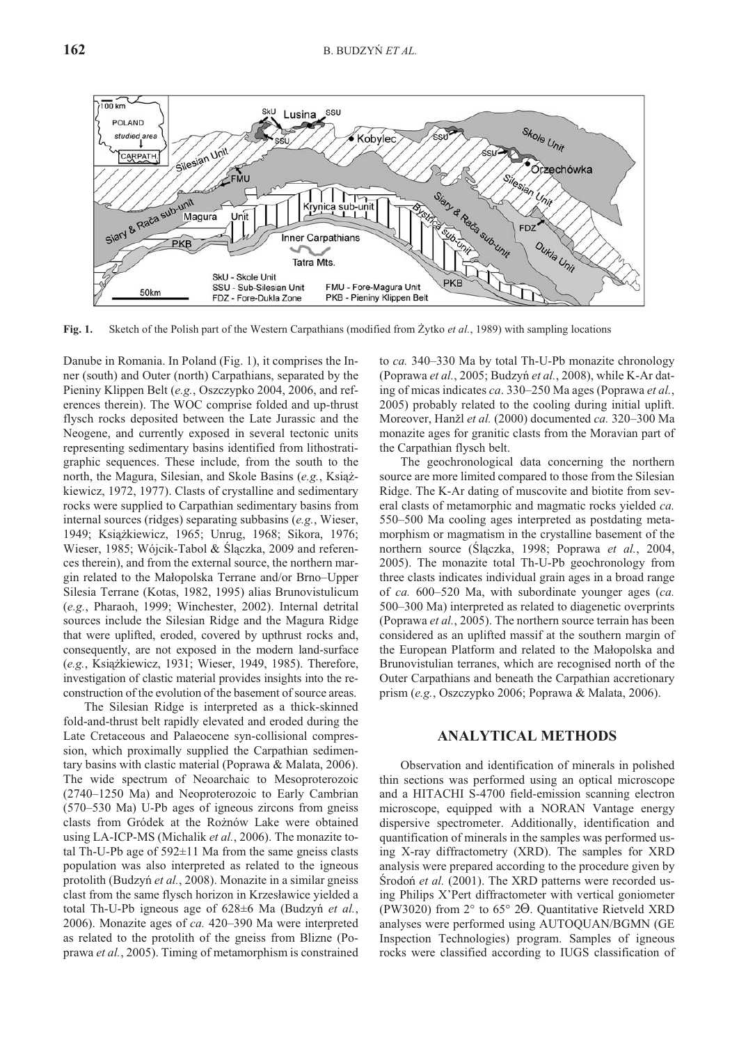

**Fig. 1.** Sketch of the Polish part of the Western Carpathians (modified from Żytko *et al.*, 1989) with sampling locations

Danube in Romania. In Poland (Fig. 1), it comprises the Inner (south) and Outer (north) Carpathians, separated by the Pieniny Klippen Belt (e.g., Oszczypko 2004, 2006, and references therein). The WOC comprise folded and up-thrust flysch rocks deposited between the Late Jurassic and the Neogene, and currently exposed in several tectonic units representing sedimentary basins identified from lithostratigraphic sequences. These include, from the south to the north, the Magura, Silesian, and Skole Basins (e.g., Książkiewicz, 1972, 1977). Clasts of crystalline and sedimentary rocks were supplied to Carpathian sedimentary basins from internal sources (ridges) separating subbasins (*e.g.*, Wieser, 1949; Książkiewicz, 1965; Unrug, 1968; Sikora, 1976; Wieser, 1985; Wójcik-Tabol & Ślączka, 2009 and references therein), and from the external source, the northern margin related to the Małopolska Terrane and/or Brno–Upper Silesia Terrane (Kotas, 1982, 1995) alias Brunovistulicum (e.g., Pharaoh, 1999; Winchester, 2002). Internal detrital sources include the Silesian Ridge and the Magura Ridge that were uplifted, eroded, covered by upthrust rocks and, consequently, are not exposed in the modern land-surface (e.g., Książkiewicz, 1931; Wieser, 1949, 1985). Therefore, investigation of clastic material provides insights into the reconstruction of the evolution of the basement of source areas.

The Silesian Ridge is interpreted as a thick-skinned fold- and-thrust belt rapidly elevated and eroded during the Late Cretaceous and Palaeocene syn-collisional compression, which proximally supplied the Carpathian sedimentary basins with clastic material (Poprawa & Malata, 2006). The wide spectrum of Neoarchaic to Mesoproterozoic  $(2740-1250$  Ma) and Neoproterozoic to Early Cambrian  $(570-530$  Ma) U-Pb ages of igneous zircons from gneiss clasts from Gródek at the Rożnów Lake were obtained using LA-ICP-MS (Michalik *et al.*, 2006). The monazite total Th-U-Pb age of  $592 \pm 11$  Ma from the same gneiss clasts population was also interpreted as related to the igneous protolith (Budzyń et al., 2008). Monazite in a similar gneiss clast from the same flysch horizon in Krzesławice yielded a total Th-U-Pb igneous age of 628±6 Ma (Budzyń *et al.*, 2006). Monazite ages of *ca*. 420–390 Ma were interpreted as related to the protolith of the gneiss from Blizne (Poprawa *et al.*, 2005). Timing of metamorphism is constrained to *ca.* 340–330 Ma by total Th-U-Pb monazite chronology (Poprawa et al., 2005; Budzyń et al., 2008), while K-Ar dating of micas indicates *ca*. 330–250 Ma ages (Poprawa *et al.*, 2005) probably related to the cooling during initial uplift. Moreo ver, Hanžl *et al.* (2000) docu mented *ca.* 320–300 Ma monazite ages for granitic clasts from the Moravian part of the Carpathian flysch belt.

The geochronological data concerning the northern source are more limited compared to those from the Silesian Ridge. The K-Ar dating of muscovite and biotite from several clasts of metamorphic and magmatic rocks yielded *ca*. 550–500 Ma cooling ages interpreted as postdating metamorphism or magmatism in the crystalline basement of the northern source (Ślączka, 1998; Poprawa et al., 2004, 2005). The monazite total Th-U-Pb geochronology from three clasts indicates individual grain ages in a broad range of *ca.* 600–520 Ma, with subordinate younger ages (*ca.*) 500–300 Ma) interpreted as related to diagenetic overprints (Poprawa et al., 2005). The northern source terrain has been considered as an uplifted massif at the southern margin of the European Platform and related to the Małopolska and Brunovistulian terranes, which are recognised north of the Outer Carpathians and beneath the Carpathian accretionary prism (e.g., Oszczypko 2006; Poprawa & Malata, 2006).

#### **ANALYTICAL METHODS**

Observation and identification of minerals in polished thin sections was performed using an optical microscope and a HITACHI S-4700 field-emission scanning electron microscope, equipped with a NORAN Vantage energy dispersive spectrometer. Additionally, identification and quantification of minerals in the samples was performed using X-ray diffractometry (XRD). The samples for XRD analy sis were prepared according to the procedure given by Środoń *et al.* (2001). The XRD patterns were recorded using Philips X'Pert diffractometer with vertical goniometer (PW3020) from  $2^{\circ}$  to 65° 2 $\Theta$ . Quantitative Rietveld XRD analyses were performed using AUTOQUAN/BGMN (GE) Inspection Technologies) program. Samples of igneous rocks were classified according to IUGS classification of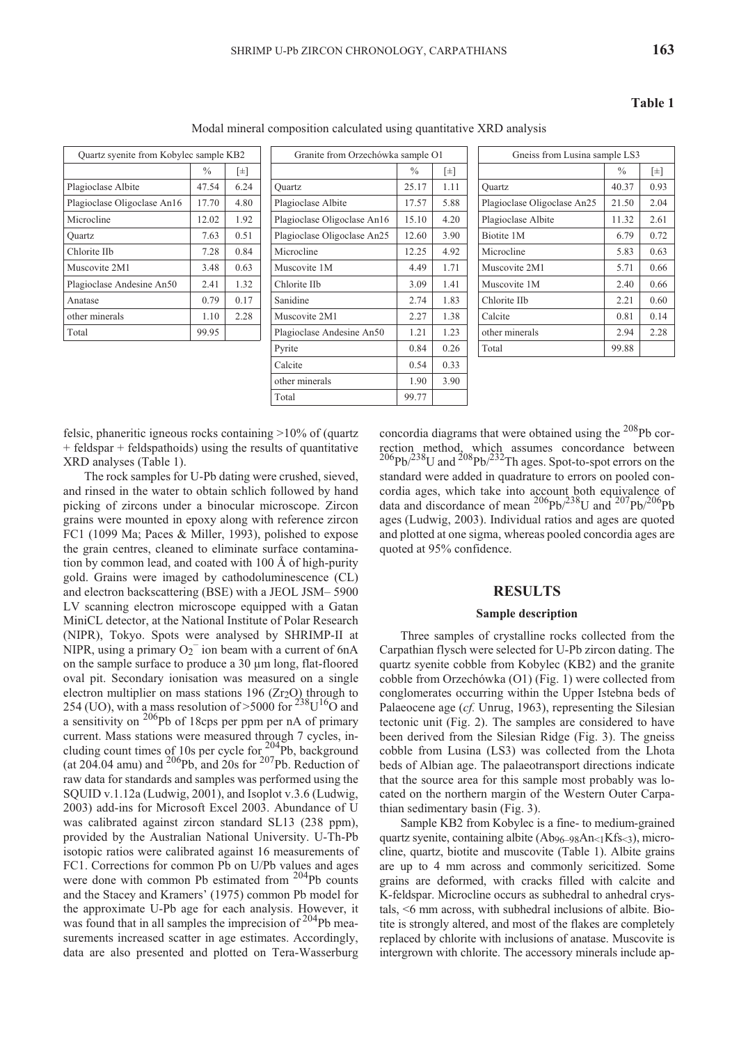| Quartz syenite from Kobylec sample KB2 |               |      |  |  |  |  |  |  |  |  |
|----------------------------------------|---------------|------|--|--|--|--|--|--|--|--|
|                                        | $\frac{0}{0}$ | [±]  |  |  |  |  |  |  |  |  |
| Plagioclase Albite                     | 47.54         | 6.24 |  |  |  |  |  |  |  |  |
| Plagioclase Oligoclase An16            | 17.70         | 4.80 |  |  |  |  |  |  |  |  |
| Microcline                             | 12.02         | 1.92 |  |  |  |  |  |  |  |  |
| Ouartz                                 | 7.63          | 0.51 |  |  |  |  |  |  |  |  |
| Chlorite IIb                           | 7.28          | 0.84 |  |  |  |  |  |  |  |  |
| Muscovite 2M1                          | 3.48          | 0.63 |  |  |  |  |  |  |  |  |
| Plagioclase Andesine An50              | 2.41          | 1.32 |  |  |  |  |  |  |  |  |
| Anatase                                | 0.79          | 0.17 |  |  |  |  |  |  |  |  |
| other minerals                         | 1.10          | 2.28 |  |  |  |  |  |  |  |  |
| Total                                  | 99.95         |      |  |  |  |  |  |  |  |  |
|                                        |               |      |  |  |  |  |  |  |  |  |

|               |      |                                        |               | Gneiss from Lusina sample LS3 |                                   |               |           |  |
|---------------|------|----------------------------------------|---------------|-------------------------------|-----------------------------------|---------------|-----------|--|
| $\frac{0}{0}$ | [±]  |                                        | $\frac{0}{0}$ | $[\pm]$                       |                                   | $\frac{0}{0}$ | $[ \pm ]$ |  |
| 47.54         | 6.24 | Ouartz                                 | 25.17         | 1.11                          | Ouartz                            | 40.37         | 0.93      |  |
| 17.70         | 4.80 | Plagioclase Albite                     | 17.57         | 5.88                          | Plagioclase Oligoclase An25       | 21.50         | 2.04      |  |
| 12.02         | 1.92 | Plagioclase Oligoclase An16            | 15.10         | 4.20                          | Plagioclase Albite                | 11.32         | 2.61      |  |
| 7.63          | 0.51 | Plagioclase Oligoclase An25            | 12.60         | 3.90                          | Biotite 1M                        | 6.79          | 0.72      |  |
| 7.28          | 0.84 | Microcline                             | 12.25         | 4.92                          | Microcline                        | 5.83          | 0.63      |  |
| 3.48          | 0.63 | Muscovite 1M                           | 4.49          | 1.71                          | Muscovite 2M1                     | 5.71          | 0.66      |  |
| 2.41          | 1.32 | Chlorite IIb                           | 3.09          | 1.41                          | Muscovite 1M                      | 2.40          | 0.66      |  |
| 0.79          | 0.17 | Sanidine                               | 2.74          | 1.83                          | Chlorite IIb                      | 2.21          | 0.60      |  |
| 1.10          | 2.28 | Muscovite 2M1                          | 2.27          | 1.38                          | Calcite                           | 0.81          | 0.14      |  |
| 99.95         |      | Plagioclase Andesine An50              | 1.21          | 1.23                          | other minerals                    | 2.94          | 2.28      |  |
|               |      | Pyrite                                 | 0.84          | 0.26                          | Total                             | 99.88         |           |  |
|               |      | Calcite                                | 0.54          | 0.33                          |                                   |               |           |  |
|               |      | other minerals                         | 1.90          | 3.90                          |                                   |               |           |  |
|               |      | Total                                  | 99.77         |                               |                                   |               |           |  |
|               |      | Quartz syenite from Kobylec sample KB2 |               |                               | Granite from Orzechówka sample O1 |               |           |  |

Modal mineral composition calculated using quantitative XRD analysis

| Gneiss from Lusina sample LS3 |      |  |  |  |  |  |  |  |  |  |
|-------------------------------|------|--|--|--|--|--|--|--|--|--|
| $\frac{0}{0}$                 | [±]  |  |  |  |  |  |  |  |  |  |
| 40.37                         | 0.93 |  |  |  |  |  |  |  |  |  |
| 21.50                         | 2.04 |  |  |  |  |  |  |  |  |  |
| 11.32                         | 2.61 |  |  |  |  |  |  |  |  |  |
| 6.79                          | 0.72 |  |  |  |  |  |  |  |  |  |
| 5.83                          | 0.63 |  |  |  |  |  |  |  |  |  |
| 5.71                          | 0.66 |  |  |  |  |  |  |  |  |  |
| 2.40                          | 0.66 |  |  |  |  |  |  |  |  |  |
| 2.21                          | 0.60 |  |  |  |  |  |  |  |  |  |
| 0.81                          | 0.14 |  |  |  |  |  |  |  |  |  |
| 2.94                          | 2.28 |  |  |  |  |  |  |  |  |  |
| 99.88                         |      |  |  |  |  |  |  |  |  |  |
|                               |      |  |  |  |  |  |  |  |  |  |

felsic, phaneritic igneous rocks containing  $>10\%$  of (quartz  $+$  feldspar  $+$  feldspathoids) using the results of quantitative XRD analyses (Table 1).

The rock samples for U-Pb dating were crushed, sieved, and rinsed in the water to obtain schlich followed by hand picking of zircons under a binocular microscope. Zircon grains were mounted in epoxy along with reference zircon FC1 (1099 Ma; Paces & Miller, 1993), polished to expose the grain centres, cleaned to eliminate surface contamination by common lead, and coated with  $100 \text{ Å}$  of high-purity gold. Grains were imaged by cathodoluminescence (CL) and electron backscattering (BSE) with a JEOL JSM-5900 LV scanning electron microscope equipped with a Gatan MiniCL detector, at the National Institute of Polar Research (NIPR), Tokyo. Spots were analysed by SHRIMP-II at NIPR, using a primary  $O_2$ <sup>-</sup> ion beam with a current of 6nA on the sample surface to produce a  $30 \mu m$  long, flat-floored oval pit. Secondary ionisation was measured on a single electron multiplier on mass stations 196 ( $Zr_2O$ ) through to 254 (UO), with a mass resolution of >5000 for  $^{238}$ U<sup>16</sup>O and a sensitivity on  $^{206}$ Pb of 18cps per ppm per nA of primary current. Mass stations were measured through 7 cycles, including count times of 10s per cycle for  $^{204}_{20}$ Pb, background (at 204.04 amu) and  $^{206}Pb$ , and 20s for  $^{207}Pb$ . Reduction of raw data for standards and samples was performed using the SQUID v.1.12a (Ludwig, 2001), and Isoplot v.3.6 (Ludwig, 2003) add-ins for Microsoft Excel 2003. Abundance of U was calibrated against zircon standard SL13 (238 ppm), provided by the Australian National University. U-Th-Pb isotopic ratios were calibrated against 16 measurements of FC1. Corrections for common Pb on U/Pb values and ages were done with common Pb estimated from  $204Pb$  counts and the Stacey and Kramers' (1975) common Pb model for the approximate U-Pb age for each analysis. However, it was found that in all samples the imprecision of  $204Pb$  measurements increased scatter in age estimates. Accordingly, data are also presented and plotted on Tera-Wasserburg

concordia diagrams that were obtained using the  $208Pb$  correction method, which assumes concordance between  $^{206}$ Pb/ $^{238}$ U and  $^{208}$ Pb/ $^{232}$ Th ages. Spot-to-spot errors on the standard were added in quadrature to errors on pooled concordia ages, which take into account both equivalence of data and discordance of mean  $^{206}Pb^{238}U$  and  $^{207}Pb^{206}Pb$ ages (Ludwig, 2003). Individual ratios and ages are quoted and plotted at one sigma, whereas pooled concordia ages are quoted at 95% confidence.

#### **RE SULTS**

#### **Sample description**

Three samples of crystalline rocks collected from the Carpathian flysch were selected for U-Pb zircon dating. The quartz syenite cobble from Kobylec (KB2) and the granite cobble from Orzechówka (O1) (Fig. 1) were collected from conglomerates occurring within the Upper Istebna beds of Palaeocene age (*cf.* Unrug, 1963), representing the Silesian tectonic unit (Fig. 2). The samples are considered to have been derived from the Silesian Ridge (Fig. 3). The gneiss cobble from Lusina (LS3) was collected from the Lhota beds of Albian age. The palaeotransport directions indicate that the source area for this sample most probably was located on the northern margin of the Western Outer Carpathian sedimentary basin (Fig. 3).

Sample KB2 from Kobylec is a fine- to medium-grained quartz syenite, containing albite  $(Ab_{96-98}An_{<1}Kfs_{<3})$ , microcline, quartz, biotite and muscovite (Table 1). Albite grains are up to 4 mm across and commonly sericitized. Some grains are deformed, with cracks filled with calcite and K-feldspar. Microcline occurs as subhedral to anhedral crystals,  $\leq 6$  mm across, with subhedral inclusions of albite. Biotite is strongly altered, and most of the flakes are completely replaced by chlorite with inclusions of anatase. Muscovite is intergrown with chlorite. The accessory minerals include ap-

#### **Ta ble 1**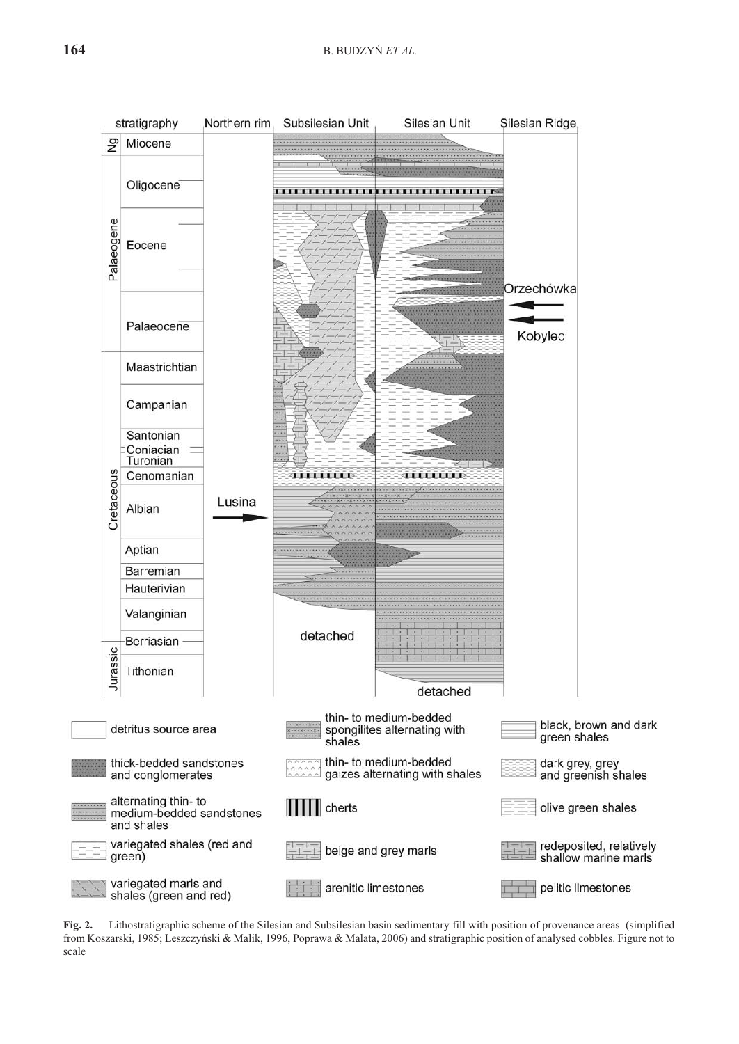

**Fig. 2.** Lithostratigraphic scheme of the Silesian and Subsilesian basin sedimentary fill with position of provenance areas (simplified from Koszarski, 1985; Leszczyński & Malik, 1996, Poprawa & Malata, 2006) and stratigraphic position of analysed cobbles. Figure not to scale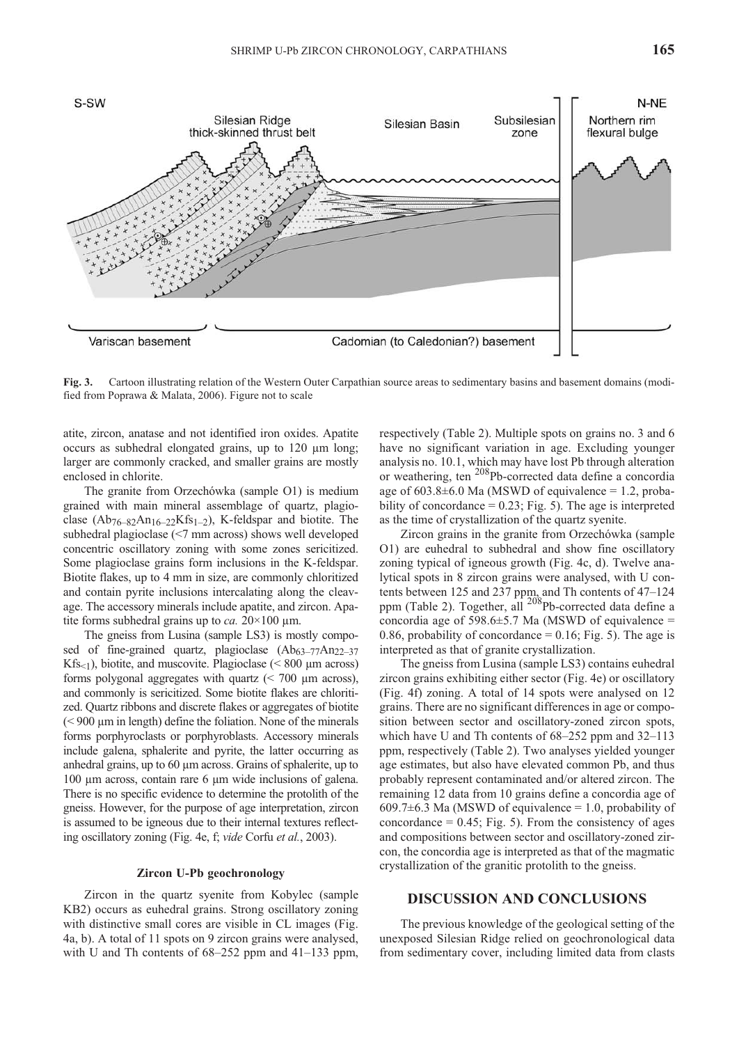

Fig. 3. Cartoon illustrating relation of the Western Outer Carpathian source areas to sedimentary basins and basement domains (modified from Poprawa & Malata,  $2006$ ). Figure not to scale

atite, zircon, anatase and not identified iron oxides. Apatite occurs as subhedral elongated grains, up to  $120 \mu m$  long; larger are commonly cracked, and smaller grains are mostly enclosed in chlorite.

The granite from Orzechówka (sample O1) is medium grained with main mineral assemblage of quartz, plagioclase  $(Ab_{76-82}An_{16-22}Kfs_{1-2})$ , K-feldspar and biotite. The subhedral plagioclase  $\leq 7$  mm across) shows well developed concentric oscillatory zoning with some zones sericitized. Some plagioclase grains form inclusions in the K-feldspar. Biotite flakes, up to 4 mm in size, are commonly chloritized and contain pyrite inclusions intercalating along the cleavage. The accessory minerals include apatite, and zircon. Apatite forms subhedral grains up to *ca*.  $20 \times 100 \mu$ m.

The gneiss from Lusina (sample LS3) is mostly composed of fine-grained quartz, plagioclase  $(Ab_{63-77}Am_{22-37})$ Kfs $\leq$ 1), biotite, and muscovite. Plagioclase ( $\leq$  800 µm across) forms polygonal aggregates with quartz  $\approx$  700  $\mu$ m across), and commonly is sericitized. Some biotite flakes are chloritized. Quartz ribbons and discrete flakes or aggregates of biotite  $(< 900 \mu m$  in length) define the foliation. None of the minerals forms porphyroclasts or porphyroblasts. Accessory minerals include galena, sphalerite and pyrite, the latter occurring as anhedral grains, up to 60 µm across. Grains of sphalerite, up to 100 µm across, contain rare 6 µm wide inclusions of galena. There is no specific evidence to determine the protolith of the gneiss. However, for the purpose of age interpretation, zircon is assumed to be igneous due to their internal textures reflecting os cilla tory zon ing (Fig. 4e, f; *vide* Corfu *et al.*, 2003).

#### **Zircon U-Pb geochronology**

Zircon in the quartz syenite from Kobylec (sample KB2) occurs as euhedral grains. Strong oscillatory zoning with distinctive small cores are visible in CL images (Fig. 4a, b). A total of 11 spots on 9 zircon grains were analysed, with U and Th contents of  $68-252$  ppm and  $41-133$  ppm,

respectively (Table 2). Multiple spots on grains no. 3 and 6 have no significant variation in age. Excluding younger analysis no. 10.1, which may have lost Pb through alteration or weathering, ten <sup>208</sup>Pb-corrected data define a concordia age of  $603.8\pm6.0$  Ma (MSWD of equivalence = 1.2, probability of concordance  $= 0.23$ ; Fig. 5). The age is interpreted as the time of crystallization of the quartz syenite.

Zircon grains in the granite from Orzechówka (sample O1) are euhedral to subhedral and show fine oscillatory zoning typical of igneous growth (Fig. 4c, d). Twelve analytical spots in 8 zircon grains were analysed, with U contents between 125 and 237 ppm, and Th contents of  $47-124$ ppm (Table 2). Together, all  $^{208}$ Pb-corrected data define a concordia age of 598.6 $\pm$ 5.7 Ma (MSWD of equivalence = 0.86, probability of concordance =  $0.16$ ; Fig. 5). The age is interpreted as that of granite crystallization.

The gneiss from Lusina (sample LS3) contains euhedral zir con grains exhibiting either sector (Fig. 4e) or oscillatory (Fig. 4f) zoning. A total of  $14$  spots were analysed on  $12$ grains. There are no significant differences in age or composition between sector and oscillatory-zoned zircon spots, which have U and Th contents of  $68-252$  ppm and  $32-113$ ppm, respectively (Table 2). Two analyses yielded younger age estimates, but also have elevated common Pb, and thus probably represent contaminated and/or altered zircon. The remaining 12 data from 10 grains define a concordia age of 609.7 $\pm$ 6.3 Ma (MSWD of equivalence = 1.0, probability of concordance  $= 0.45$ ; Fig. 5). From the consistency of ages and compositions between sector and oscillatory-zoned zircon, the concordia age is interpreted as that of the magmatic crystallization of the granitic protolith to the gneiss.

#### **DISCUSSION AND CONCLUSIONS**

The previous knowledge of the geological setting of the un exposed Silesian Ridge relied on geochronological data from sedimentary cover, including limited data from clasts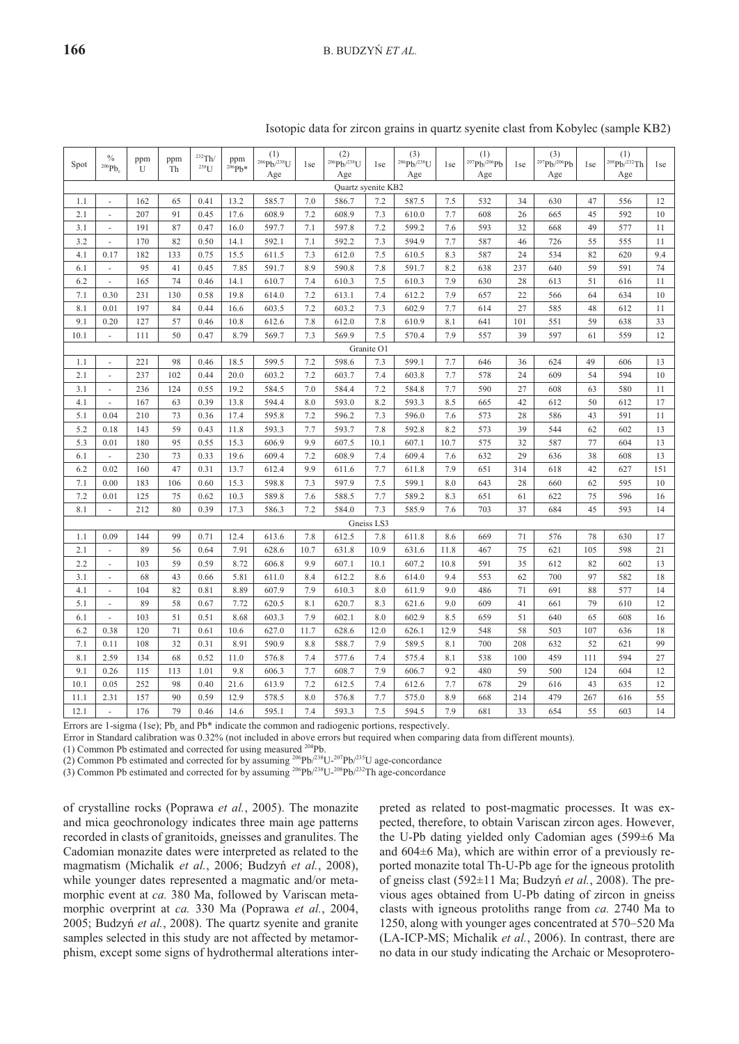| Spot | $\%$<br>$^{206}Pb_c$     | ppm<br>U | ppm<br>Th | $232$ Th/<br>$^{238}\!U$ | ppm<br>$206Pb*$ | (1)<br>$^{206}Pb/^{238}U$<br>Age | 1 <sub>se</sub> | (2)<br>$^{206}Pb/^{238}U$<br>Age | 1 <sub>se</sub> | (3)<br>$^{206}Pb/^{238}U$<br>Age | 1 <sub>se</sub> | (1)<br>$^{207}Pb/^{206}Pb$<br>Age | 1 <sub>se</sub> | (3)<br>$^{207}Pb/^{206}Pb$<br>Age | 1se | (1)<br>208Pb/232Th<br>Age | 1 <sub>se</sub> |
|------|--------------------------|----------|-----------|--------------------------|-----------------|----------------------------------|-----------------|----------------------------------|-----------------|----------------------------------|-----------------|-----------------------------------|-----------------|-----------------------------------|-----|---------------------------|-----------------|
|      |                          |          |           |                          |                 |                                  |                 | Quartz syenite KB2               |                 |                                  |                 |                                   |                 |                                   |     |                           |                 |
| 1.1  | ÷.                       | 162      | 65        | 0.41                     | 13.2            | 585.7                            | 7.0             | 586.7                            | 7.2             | 587.5                            | 7.5             | 532                               | 34              | 630                               | 47  | 556                       | 12              |
| 2.1  | $\overline{\phantom{a}}$ | 207      | 91        | 0.45                     | 17.6            | 608.9                            | 7.2             | 608.9                            | 7.3             | 610.0                            | 7.7             | 608                               | 26              | 665                               | 45  | 592                       | 10              |
| 3.1  | ÷.                       | 191      | 87        | 0.47                     | 16.0            | 597.7                            | 7.1             | 597.8                            | 7.2             | 599.2                            | 7.6             | 593                               | 32              | 668                               | 49  | 577                       | 11              |
| 3.2  | $\sim$                   | 170      | 82        | 0.50                     | 14.1            | 592.1                            | 7.1             | 592.2                            | 7.3             | 594.9                            | 7.7             | 587                               | 46              | 726                               | 55  | 555                       | 11              |
| 4.1  | 0.17                     | 182      | 133       | 0.75                     | 15.5            | 611.5                            | 7.3             | 612.0                            | 7.5             | 610.5                            | 8.3             | 587                               | 24              | 534                               | 82  | 620                       | 9.4             |
| 6.1  | $\sim$                   | 95       | 41        | 0.45                     | 7.85            | 591.7                            | 8.9             | 590.8                            | 7.8             | 591.7                            | 8.2             | 638                               | 237             | 640                               | 59  | 591                       | 74              |
| 6.2  | $\sim$                   | 165      | 74        | 0.46                     | 14.1            | 610.7                            | 7.4             | 610.3                            | 7.5             | 610.3                            | 7.9             | 630                               | 28              | 613                               | 51  | 616                       | 11              |
| 7.1  | 0.30                     | 231      | 130       | 0.58                     | 19.8            | 614.0                            | 7.2             | 613.1                            | 7.4             | 612.2                            | 7.9             | 657                               | 22              | 566                               | 64  | 634                       | 10              |
| 8.1  | 0.01                     | 197      | 84        | 0.44                     | 16.6            | 603.5                            | 7.2             | 603.2                            | 7.3             | 602.9                            | 7.7             | 614                               | 27              | 585                               | 48  | 612                       | 11              |
| 9.1  | 0.20                     | 127      | 57        | 0.46                     | 10.8            | 612.6                            | 7.8             | 612.0                            | 7.8             | 610.9                            | 8.1             | 641                               | 101             | 551                               | 59  | 638                       | 33              |
| 10.1 | $\sim$                   | 111      | 50        | 0.47                     | 8.79            | 569.7                            | 7.3             | 569.9                            | 7.5             | 570.4                            | 7.9             | 557                               | 39              | 597                               | 61  | 559                       | 12              |
|      |                          |          |           |                          |                 |                                  |                 |                                  | Granite O1      |                                  |                 |                                   |                 |                                   |     |                           |                 |
| 1.1  |                          | 221      | 98        | 0.46                     | 18.5            | 599.5                            | 7.2             | 598.6                            | 7.3             | 599.1                            | 7.7             | 646                               | 36              | 624                               | 49  | 606                       | 13              |
| 2.1  | ÷.                       | 237      | 102       | 0.44                     | 20.0            | 603.2                            | 7.2             | 603.7                            | 7.4             | 603.8                            | 7.7             | 578                               | 24              | 609                               | 54  | 594                       | 10              |
| 3.1  | $\omega$                 | 236      | 124       | 0.55                     | 19.2            | 584.5                            | 7.0             | 584.4                            | 7.2             | 584.8                            | 7.7             | 590                               | 27              | 608                               | 63  | 580                       | 11              |
| 4.1  | $\overline{\phantom{a}}$ | 167      | 63        | 0.39                     | 13.8            | 594.4                            | 8.0             | 593.0                            | 8.2             | 593.3                            | 8.5             | 665                               | 42              | 612                               | 50  | 612                       | 17              |
| 5.1  | 0.04                     | 210      | 73        | 0.36                     | 17.4            | 595.8                            | 7.2             | 596.2                            | 7.3             | 596.0                            | 7.6             | 573                               | 28              | 586                               | 43  | 591                       | 11              |
| 5.2  | 0.18                     | 143      | 59        | 0.43                     | 11.8            | 593.3                            | 7.7             | 593.7                            | 7.8             | 592.8                            | 8.2             | 573                               | 39              | 544                               | 62  | 602                       | 13              |
| 5.3  | 0.01                     | 180      | 95        | 0.55                     | 15.3            | 606.9                            | 9.9             | 607.5                            | 10.1            | 607.1                            | 10.7            | 575                               | 32              | 587                               | 77  | 604                       | 13              |
| 6.1  | $\omega$                 | 230      | 73        | 0.33                     | 19.6            | 609.4                            | 7.2             | 608.9                            | 7.4             | 609.4                            | 7.6             | 632                               | 29              | 636                               | 38  | 608                       | 13              |
| 6.2  | 0.02                     | 160      | 47        | 0.31                     | 13.7            | 612.4                            | 9.9             | 611.6                            | 7.7             | 611.8                            | 7.9             | 651                               | 314             | 618                               | 42  | 627                       | 151             |
| 7.1  | 0.00                     | 183      | 106       | 0.60                     | 15.3            | 598.8                            | 7.3             | 597.9                            | 7.5             | 599.1                            | 8.0             | 643                               | 28              | 660                               | 62  | 595                       | 10              |
| 7.2  | 0.01                     | 125      | 75        | 0.62                     | 10.3            | 589.8                            | 7.6             | 588.5                            | 7.7             | 589.2                            | 8.3             | 651                               | 61              | 622                               | 75  | 596                       | 16              |
| 8.1  | $\omega$                 | 212      | 80        | 0.39                     | 17.3            | 586.3                            | 7.2             | 584.0                            | 7.3             | 585.9                            | 7.6             | 703                               | 37              | 684                               | 45  | 593                       | 14              |
|      |                          |          |           |                          |                 |                                  |                 |                                  | Gneiss LS3      |                                  |                 |                                   |                 |                                   |     |                           |                 |
| 1.1  | 0.09                     | 144      | 99        | 0.71                     | 12.4            | 613.6                            | 7.8             | 612.5                            | 7.8             | 611.8                            | 8.6             | 669                               | 71              | 576                               | 78  | 630                       | 17              |
| 2.1  | $\sim$                   | 89       | 56        | 0.64                     | 7.91            | 628.6                            | 10.7            | 631.8                            | 10.9            | 631.6                            | 11.8            | 467                               | 75              | 621                               | 105 | 598                       | 21              |
| 2.2  | ÷.                       | 103      | 59        | 0.59                     | 8.72            | 606.8                            | 9.9             | 607.1                            | 10.1            | 607.2                            | 10.8            | 591                               | 35              | 612                               | 82  | 602                       | 13              |
| 3.1  | ÷.                       | 68       | 43        | 0.66                     | 5.81            | 611.0                            | 8.4             | 612.2                            | 8.6             | 614.0                            | 9.4             | 553                               | 62              | 700                               | 97  | 582                       | 18              |
| 4.1  | $\sim$                   | 104      | 82        | 0.81                     | 8.89            | 607.9                            | 7.9             | 610.3                            | 8.0             | 611.9                            | 9.0             | 486                               | 71              | 691                               | 88  | 577                       | 14              |
| 5.1  | ÷.                       | 89       | 58        | 0.67                     | 7.72            | 620.5                            | 8.1             | 620.7                            | 8.3             | 621.6                            | 9.0             | 609                               | 41              | 661                               | 79  | 610                       | 12              |
| 6.1  | $\omega$                 | 103      | 51        | 0.51                     | 8.68            | 603.3                            | 7.9             | 602.1                            | 8.0             | 602.9                            | 8.5             | 659                               | 51              | 640                               | 65  | 608                       | 16              |
| 6.2  | 0.38                     | 120      | 71        | 0.61                     | 10.6            | 627.0                            | 11.7            | 628.6                            | 12.0            | 626.1                            | 12.9            | 548                               | 58              | 503                               | 107 | 636                       | 18              |
| 7.1  | 0.11                     | 108      | 32        | 0.31                     | 8.91            | 590.9                            | 8.8             | 588.7                            | 7.9             | 589.5                            | 8.1             | 700                               | 208             | 632                               | 52  | 621                       | 99              |
| 8.1  | 2.59                     | 134      | 68        | 0.52                     | 11.0            | 576.8                            | 7.4             | 577.6                            | 7.4             | 575.4                            | 8.1             | 538                               | 100             | 459                               | 111 | 594                       | 27              |
| 9.1  | 0.26                     | 115      | 113       | 1.01                     | 9.8             | 606.3                            | 7.7             | 608.7                            | 7.9             | 606.7                            | 9.2             | 480                               | 59              | 500                               | 124 | 604                       | 12              |
| 10.1 | 0.05                     | 252      | 98        | 0.40                     | 21.6            | 613.9                            | 7.2             | 612.5                            | 7.4             | 612.6                            | 7.7             | 678                               | 29              | 616                               | 43  | 635                       | 12              |
| 11.1 | 2.31                     | 157      | 90        | 0.59                     | 12.9            | 578.5                            | 8.0             | 576.8                            | 7.7             | 575.0                            | 8.9             | 668                               | 214             | 479                               | 267 | 616                       | 55              |
| 12.1 | $\sim$                   | 176      | 79        | 0.46                     | 14.6            | 595.1                            | 7.4             | 593.3                            | 7.5             | 594.5                            | 7.9             | 681                               | 33              | 654                               | 55  | 603                       | 14              |

|  |  |  |  | Isotopic data for zircon grains in quartz svenite clast from Kobylec (sample KB2) |  |
|--|--|--|--|-----------------------------------------------------------------------------------|--|
|  |  |  |  |                                                                                   |  |
|  |  |  |  |                                                                                   |  |
|  |  |  |  |                                                                                   |  |

Errors are 1-sigma (1se); Pb<sub>c</sub> and Pb\* indicate the common and radiogenic portions, respectively.

Error in Standard calibration was 0.32% (not included in above errors but required when comparing data from different mounts).

(1) Common Pb estimated and corrected for using measured <sup>204</sup>Pb.

(2) Common Pb estimated and corrected for by assuming  $^{206}Pb/^{238}U^{-207}Pb/^{235}U$  age-concordance

(3) Common Pb estimated and corrected for by assuming  $^{206}Pb^{238}U^{-208}Pb^{232}Th$  age-concordance

of crystalline rocks (Poprawa et al., 2005). The monazite and mica geochronology indicates three main age patterns recorded in clasts of granitoids, gneisses and granulites. The Cadomian monazite dates were interpreted as related to the magmatism (Michalik *et al.*, 2006; Budzyñ *et al.*, 2008), while younger dates represented a magmatic and/or metamorphic event at *ca*. 380 Ma, followed by Variscan metamorphic overprint at *ca*. 330 Ma (Poprawa et al., 2004, 2005; Budzyń et al., 2008). The quartz syenite and granite samples selected in this study are not affected by metamorphism, except some signs of hydrothermal alterations interpreted as related to post-magmatic processes. It was expected, therefore, to obtain Variscan zircon ages. However, the U-Pb dating yielded only Cadomian ages (599±6 Ma and  $604±6$  Ma), which are within error of a previously reported monazite total Th-U-Pb age for the igneous protolith of gneiss clast (592±11 Ma; Budzyñ *et al.*, 2008). The pre vious ages obtained from U-Pb dating of zircon in gneiss clasts with igneous protoliths range from *ca*. 2740 Ma to 1250, along with younger ages concentrated at 570–520 Ma (LA-ICP-MS; Michalik et al., 2006). In contrast, there are no data in our study indicating the Archaic or Mesoprotero-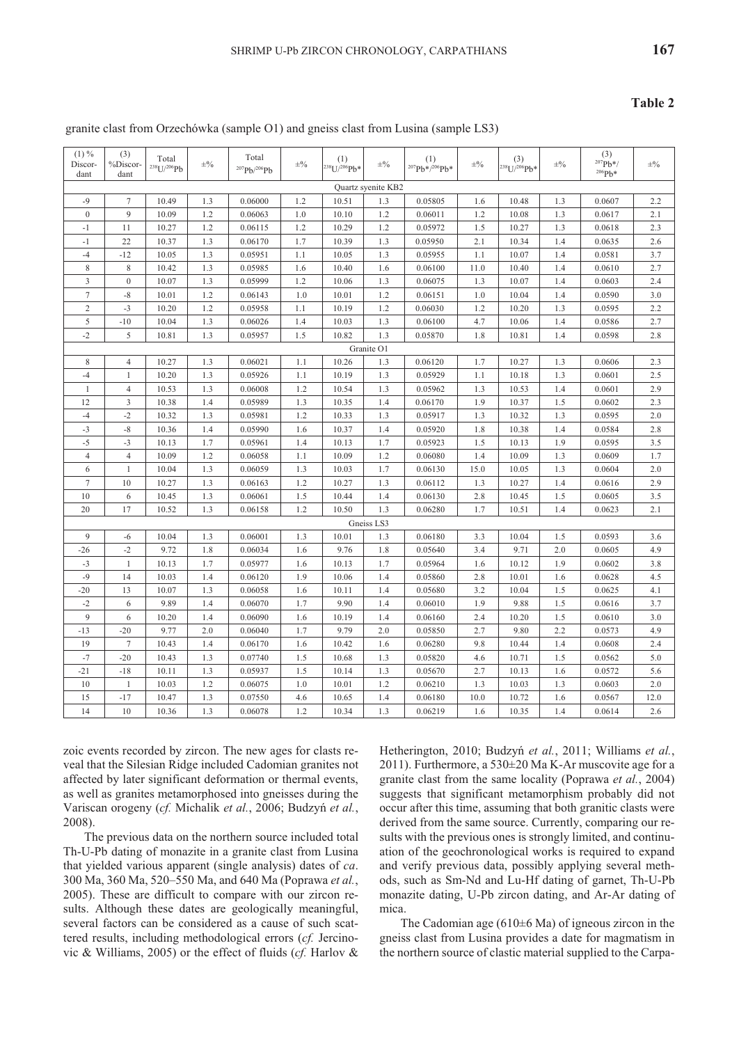#### Table 2

# granite clast from Orzechówka (sample O1) and gneiss clast from Lusina (sample LS3)

| $(1) \%$<br>Discor-<br>dant | (3)<br>%Discor-<br>dant | Total<br>$238$ U/ $206$ Pb | $\pm\frac{0}{0}$ | Total<br>$^{207}Pb/^{206}Pb$ | $\pm\frac{0}{0}$ | (1)<br><sup>238</sup> U/ <sup>206</sup> Pb* | $\pm\frac{0}{0}$   | (1)<br><sup>207</sup> Pb*/206Pb* | $\pm\frac{0}{0}$ | (3)<br>238U/206Pb* | $\pm\%$ | (3)<br>$^{207}Pb*/$<br>$206Pb*$ | $\pm\frac{0}{0}$ |
|-----------------------------|-------------------------|----------------------------|------------------|------------------------------|------------------|---------------------------------------------|--------------------|----------------------------------|------------------|--------------------|---------|---------------------------------|------------------|
|                             |                         |                            |                  |                              |                  |                                             | Quartz syenite KB2 |                                  |                  |                    |         |                                 |                  |
| $-9$                        | $\tau$                  | 10.49                      | 1.3              | 0.06000                      | 1.2              | 10.51                                       | 1.3                | 0.05805                          | 1.6              | 10.48              | 1.3     | 0.0607                          | 2.2              |
| $\boldsymbol{0}$            | 9                       | 10.09                      | 1.2              | 0.06063                      | 1.0              | 10.10                                       | 1.2                | 0.06011                          | 1.2              | 10.08              | 1.3     | 0.0617                          | 2.1              |
| $-1$                        | 11                      | 10.27                      | 1.2              | 0.06115                      | 1.2              | 10.29                                       | 1.2                | 0.05972                          | 1.5              | 10.27              | 1.3     | 0.0618                          | 2.3              |
| $-1$                        | 22                      | 10.37                      | 1.3              | 0.06170                      | 1.7              | 10.39                                       | 1.3                | 0.05950                          | 2.1              | 10.34              | 1.4     | 0.0635                          | 2.6              |
| $-4$                        | $-12$                   | 10.05                      | 1.3              | 0.05951                      | 1.1              | 10.05                                       | 1.3                | 0.05955                          | 1.1              | 10.07              | 1.4     | 0.0581                          | 3.7              |
| 8                           | 8                       | 10.42                      | 1.3              | 0.05985                      | 1.6              | 10.40                                       | 1.6                | 0.06100                          | 11.0             | 10.40              | 1.4     | 0.0610                          | 2.7              |
| 3                           | $\mathbf{0}$            | 10.07                      | 1.3              | 0.05999                      | 1.2              | 10.06                                       | 1.3                | 0.06075                          | 1.3              | 10.07              | 1.4     | 0.0603                          | 2.4              |
| $\tau$                      | $^{\rm -8}$             | 10.01                      | 1.2              | 0.06143                      | 1.0              | 10.01                                       | 1.2                | 0.06151                          | 1.0              | 10.04              | 1.4     | 0.0590                          | 3.0              |
| $\overline{2}$              | $-3$                    | 10.20                      | 1.2              | 0.05958                      | 1.1              | 10.19                                       | 1.2                | 0.06030                          | 1.2              | 10.20              | 1.3     | 0.0595                          | 2.2              |
| 5                           | $-10$                   | 10.04                      | 1.3              | 0.06026                      | 1.4              | 10.03                                       | 1.3                | 0.06100                          | 4.7              | 10.06              | 1.4     | 0.0586                          | 2.7              |
| $-2$                        | 5                       | 10.81                      | 1.3              | 0.05957                      | 1.5              | 10.82                                       | 1.3                | 0.05870                          | 1.8              | 10.81              | 1.4     | 0.0598                          | 2.8              |
| Granite O1                  |                         |                            |                  |                              |                  |                                             |                    |                                  |                  |                    |         |                                 |                  |
| 8                           | $\overline{4}$          | 10.27                      | 1.3              | 0.06021                      | 1.1              | 10.26                                       | 1.3                | 0.06120                          | 1.7              | 10.27              | 1.3     | 0.0606                          | 2.3              |
| $-4$                        | $\mathbf{1}$            | 10.20                      | 1.3              | 0.05926                      | 1.1              | 10.19                                       | 1.3                | 0.05929                          | 1.1              | 10.18              | 1.3     | 0.0601                          | 2.5              |
| $\mathbf{1}$                | $\overline{4}$          | 10.53                      | 1.3              | 0.06008                      | 1.2              | 10.54                                       | 1.3                | 0.05962                          | 1.3              | 10.53              | 1.4     | 0.0601                          | 2.9              |
| 12                          | 3                       | 10.38                      | 1.4              | 0.05989                      | 1.3              | 10.35                                       | 1.4                | 0.06170                          | 1.9              | 10.37              | 1.5     | 0.0602                          | 2.3              |
| $-4$                        | $-2$                    | 10.32                      | 1.3              | 0.05981                      | 1.2              | 10.33                                       | 1.3                | 0.05917                          | 1.3              | 10.32              | 1.3     | 0.0595                          | 2.0              |
| $-3$                        | $-8$                    | 10.36                      | 1.4              | 0.05990                      | 1.6              | 10.37                                       | 1.4                | 0.05920                          | 1.8              | 10.38              | 1.4     | 0.0584                          | 2.8              |
| $-5$                        | $-3$                    | 10.13                      | 1.7              | 0.05961                      | 1.4              | 10.13                                       | 1.7                | 0.05923                          | 1.5              | 10.13              | 1.9     | 0.0595                          | 3.5              |
| $\overline{4}$              | $\overline{4}$          | 10.09                      | 1.2              | 0.06058                      | 1.1              | 10.09                                       | 1.2                | 0.06080                          | 1.4              | 10.09              | 1.3     | 0.0609                          | 1.7              |
| 6                           | $\mathbf{1}$            | 10.04                      | 1.3              | 0.06059                      | 1.3              | 10.03                                       | 1.7                | 0.06130                          | 15.0             | 10.05              | 1.3     | 0.0604                          | 2.0              |
| $\overline{7}$              | 10                      | 10.27                      | 1.3              | 0.06163                      | 1.2              | 10.27                                       | 1.3                | 0.06112                          | 1.3              | 10.27              | 1.4     | 0.0616                          | 2.9              |
| 10                          | 6                       | 10.45                      | 1.3              | 0.06061                      | 1.5              | 10.44                                       | 1.4                | 0.06130                          | 2.8              | 10.45              | 1.5     | 0.0605                          | 3.5              |
| 20                          | 17                      | 10.52                      | 1.3              | 0.06158                      | 1.2              | 10.50                                       | 1.3                | 0.06280                          | 1.7              | 10.51              | 1.4     | 0.0623                          | 2.1              |
|                             |                         |                            |                  |                              |                  |                                             | Gneiss LS3         |                                  |                  |                    |         |                                 |                  |
| 9                           | $-6$                    | 10.04                      | 1.3              | 0.06001                      | 1.3              | 10.01                                       | 1.3                | 0.06180                          | 3.3              | 10.04              | 1.5     | 0.0593                          | 3.6              |
| $-26$                       | $-2$                    | 9.72                       | 1.8              | 0.06034                      | 1.6              | 9.76                                        | 1.8                | 0.05640                          | 3.4              | 9.71               | 2.0     | 0.0605                          | 4.9              |
| $-3$                        | $\mathbf{1}$            | 10.13                      | 1.7              | 0.05977                      | 1.6              | 10.13                                       | 1.7                | 0.05964                          | 1.6              | 10.12              | 1.9     | 0.0602                          | 3.8              |
| $-9$                        | 14                      | 10.03                      | 1.4              | 0.06120                      | 1.9              | 10.06                                       | 1.4                | 0.05860                          | 2.8              | 10.01              | 1.6     | 0.0628                          | 4.5              |
| $-20$                       | 13                      | 10.07                      | 1.3              | 0.06058                      | 1.6              | 10.11                                       | 1.4                | 0.05680                          | 3.2              | 10.04              | 1.5     | 0.0625                          | 4.1              |
| $-2$                        | 6                       | 9.89                       | 1.4              | 0.06070                      | 1.7              | 9.90                                        | 1.4                | 0.06010                          | 1.9              | 9.88               | 1.5     | 0.0616                          | 3.7              |
| 9                           | 6                       | 10.20                      | 1.4              | 0.06090                      | 1.6              | 10.19                                       | 1.4                | 0.06160                          | 2.4              | 10.20              | 1.5     | 0.0610                          | 3.0              |
| $-13$                       | $-20$                   | 9.77                       | 2.0              | 0.06040                      | 1.7              | 9.79                                        | 2.0                | 0.05850                          | 2.7              | 9.80               | 2.2     | 0.0573                          | 4.9              |
| 19                          | $\tau$                  | 10.43                      | 1.4              | 0.06170                      | 1.6              | 10.42                                       | 1.6                | 0.06280                          | 9.8              | 10.44              | 1.4     | 0.0608                          | 2.4              |
| $-7$                        | $-20$                   | 10.43                      | 1.3              | 0.07740                      | 1.5              | 10.68                                       | 1.3                | 0.05820                          | 4.6              | 10.71              | 1.5     | 0.0562                          | 5.0              |
| $-21$                       | $-18$                   | 10.11                      | 1.3              | 0.05937                      | 1.5              | 10.14                                       | 1.3                | 0.05670                          | 2.7              | 10.13              | 1.6     | 0.0572                          | 5.6              |
| 10                          | $\mathbf{1}$            | 10.03                      | 1.2              | 0.06075                      | 1.0              | 10.01                                       | 1.2                | 0.06210                          | 1.3              | 10.03              | 1.3     | 0.0603                          | 2.0              |
| $15\,$                      | $-17$                   | 10.47                      | 1.3              | 0.07550                      | 4.6              | 10.65                                       | 1.4                | 0.06180                          | 10.0             | 10.72              | 1.6     | 0.0567                          | 12.0             |
| 14                          | 10                      | 10.36                      | 1.3              | 0.06078                      | 1.2              | 10.34                                       | 1.3                | 0.06219                          | 1.6              | 10.35              | 1.4     | 0.0614                          | 2.6              |

zoic events recorded by zircon. The new ages for clasts reveal that the Silesian Ridge included Cadomian granites not affected by later significant deformation or thermal events, as well as granites metamorphosed into gneisses during the Variscan orogeny (cf. Michalik et al., 2006; Budzyń et al.,  $2008$ ).

The previous data on the northern source included total Th-U-Pb dating of monazite in a granite clast from Lusina that yielded various apparent (single analysis) dates of ca. 300 Ma, 360 Ma, 520-550 Ma, and 640 Ma (Poprawa et al., 2005). These are difficult to compare with our zircon results. Although these dates are geologically meaningful, several factors can be considered as a cause of such scattered results, including methodological errors (cf. Jercinovic & Williams, 2005) or the effect of fluids (*cf.* Harlov &

Hetherington, 2010; Budzyń et al., 2011; Williams et al., 2011). Furthermore, a 530±20 Ma K-Ar muscovite age for a granite clast from the same locality (Poprawa et al., 2004) suggests that significant metamorphism probably did not occur after this time, assuming that both granitic clasts were derived from the same source. Currently, comparing our results with the previous ones is strongly limited, and continuation of the geochronological works is required to expand and verify previous data, possibly applying several methods, such as Sm-Nd and Lu-Hf dating of garnet, Th-U-Pb monazite dating, U-Pb zircon dating, and Ar-Ar dating of mica.

The Cadomian age (610 $\pm$ 6 Ma) of igneous zircon in the gneiss clast from Lusina provides a date for magmatism in the northern source of clastic material supplied to the Carpa-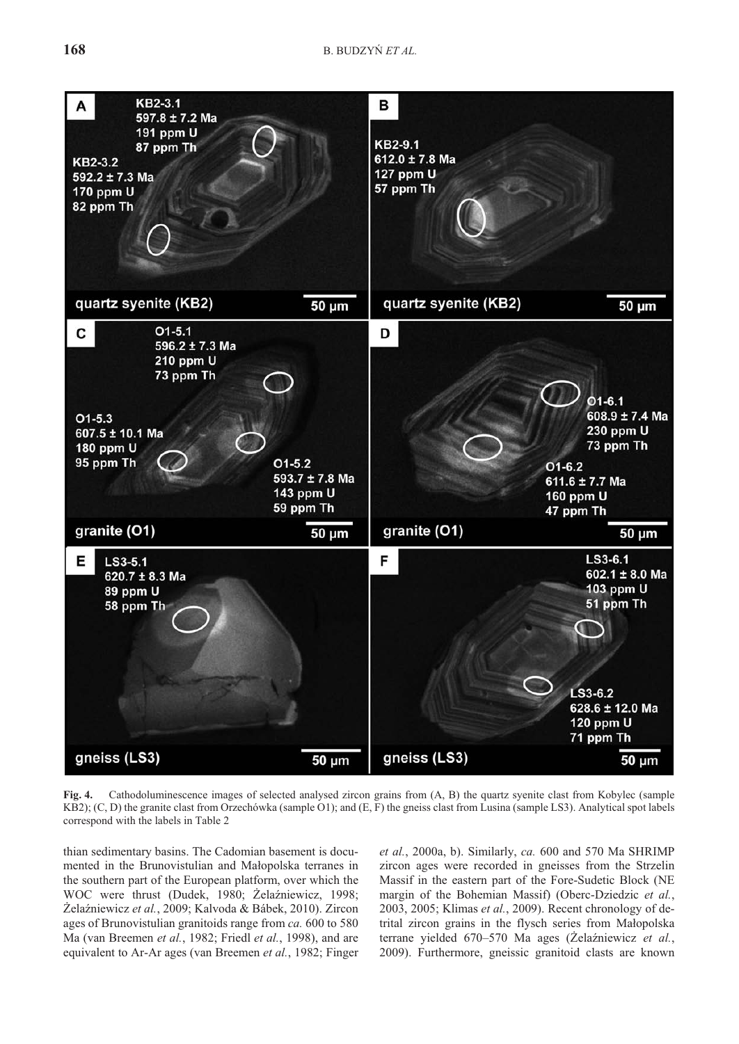

Fig. 4. Cathodoluminescence images of selected analysed zircon grains from (A, B) the quartz syenite clast from Kobylec (sample KB2); (C, D) the granite clast from Orzechówka (sample O1); and (E, F) the gneiss clast from Lusina (sample LS3). Analytical spot labels correspond with the labels in Table 2

thian sedimentary basins. The Cadomian basement is documented in the Brunovistulian and Małopolska terranes in the southern part of the European platform, over which the WOC were thrust (Dudek, 1980; Żelaźniewicz, 1998; Żelaźniewicz et al., 2009; Kalvoda & Bábek, 2010). Zircon ages of Brunovistulian granitoids range from *ca.* 600 to 580 Ma (van Breemen *et al.*, 1982; Friedl *et al.*, 1998), and are equivalent to Ar-Ar ages (van Breemen et al., 1982; Finger *et al.*, 2000a, b). Similarly, *ca.* 600 and 570 Ma SHRIMP zir con ages were recorded in gneisses from the Strzelin Massif in the eastern part of the Fore-Sudetic Block (NE margin of the Bohemian Massif) (Oberc-Dziedzic et al., 2003, 2005; Klimas et al., 2009). Recent chronology of detrital zircon grains in the flysch series from Małopolska terrane yielded 670–570 Ma ages (Żelaźniewicz *et al.*, 2009). Furthermore, gneissic granitoid clasts are known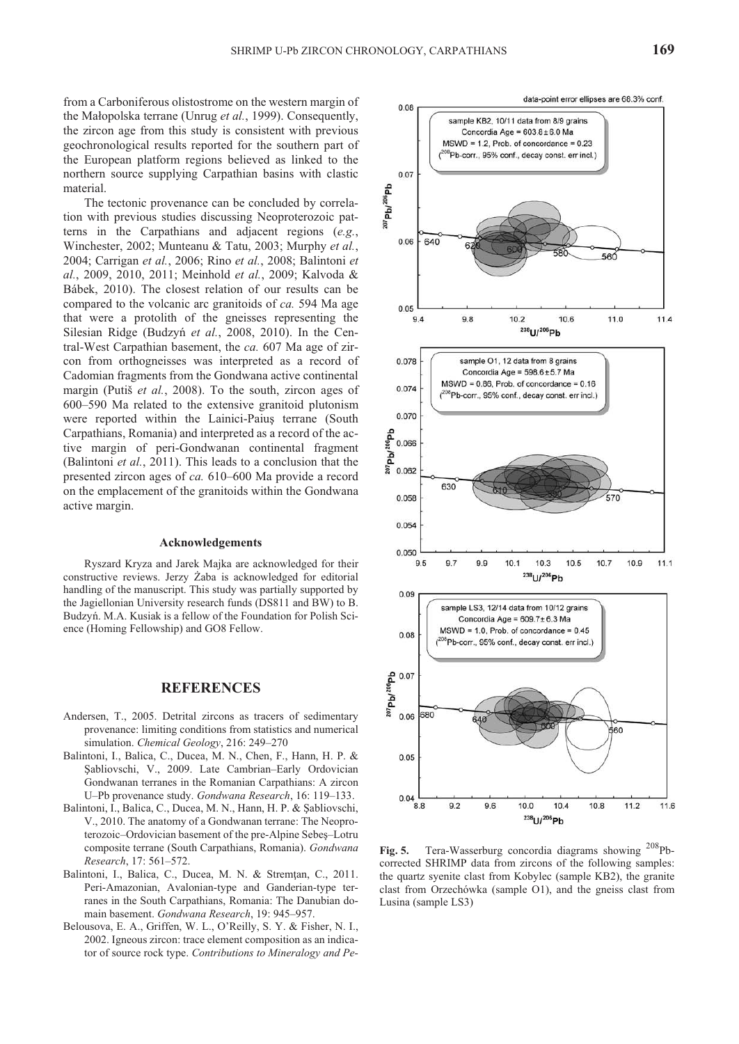from a Carboniferous olistostrome on the western margin of the Małopolska terrane (Unrug et al., 1999). Consequently, the zircon age from this study is consistent with previous geochronological results reported for the southern part of the European platform regions believed as linked to the northern source supplying Carpathian basins with clastic material.

The tectonic provenance can be concluded by correlation with previous studies discussing Neoproterozoic patterns in the Carpathians and adjacent regions (*e.g.*, Winchester, 2002; Munteanu & Tatu, 2003; Murphy *et al.*, 2004; Carrigan *et al.*, 2006; Rino *et al.*, 2008; Balintoni *et al.*, 2009, 2010, 2011; Meinhold *et al.*, 2009; Kalvoda & Bábek, 2010). The closest relation of our results can be compared to the volcanic arc granitoids of *ca*. 594 Ma age that were a protolith of the gneisses representing the Silesian Ridge (Budzyń et al., 2008, 2010). In the Central-West Carpathian basement, the *ca.* 607 Ma age of zircon from orthogneisses was interpreted as a record of Cadomian fragments from the Gondwana active continental margin (Putiš *et al.*, 2008). To the south, zircon ages of 600–590 Ma related to the extensive granitoid plutonism were reported within the Lainici-Paius terrane (South Carpathians, Romania) and interpreted as a record of the active margin of peri-Gondwanan continental fragment (Balintoni *et al.*, 2011). This leads to a conclusion that the presented zircon ages of *ca*. 610–600 Ma provide a record on the emplacement of the granitoids within the Gondwana active margin.

#### **Ac knowl edge ments**

Ryszard Kryza and Jarek Majka are acknowledged for their constructive reviews. Jerzy Żaba is acknowledged for editorial handling of the manuscript. This study was partially supported by the Jagiellonian University research funds (DS811 and BW) to B. Budzyń. M.A. Kusiak is a fellow of the Foundation for Polish Science (Homing Fellowship) and GO8 Fellow.

#### **REFERENCES**

- Andersen, T., 2005. Detrital zircons as tracers of sedimentary provenance: limiting conditions from statistics and numerical simulation. *Chemical Geology*, 216: 249-270
- Balintoni, I., Balica, C., Ducea, M. N., Chen, F., Hann, H. P. & Sabliovschi, V., 2009. Late Cambrian–Early Ordovician Gondwanan terranes in the Romanian Carpathians: A zircon U–Pb provenance study. *Gondwana Research*, 16: 119–133.
- Balintoni, I., Balica, C., Ducea, M. N., Hann, H. P. & Şabliovschi, V., 2010. The anatomy of a Gondwanan terrane: The Neoproterozoic–Ordovician basement of the pre-Alpine Sebeș–Lotru composite terrane (South Carpathians, Romania). *Gondwana Re search*, 17: 561–572.
- Balintoni, I., Balica, C., Ducea, M. N. & Stremțan, C., 2011. Peri-Amazonian, Avalonian-type and Ganderian-type terranes in the South Carpathians, Romania: The Danubian domain base ment. *Gond wana Re search*, 19: 945–957.
- Belousova, E. A., Griffen, W. L., O'Reilly, S. Y. & Fisher, N. I., 2002. Igneous zircon: trace element composition as an indicator of source rock type. *Contributions to Mineralogy and Pe-*



Fig. 5. Tera-Wasserburg concordia diagrams showing <sup>208</sup>Pbcorrected SHRIMP data from zircons of the following samples: the quartz syenite clast from Kobylec (sample KB2), the granite clast from Orzechówka (sample O1), and the gneiss clast from Lusina (sample LS3)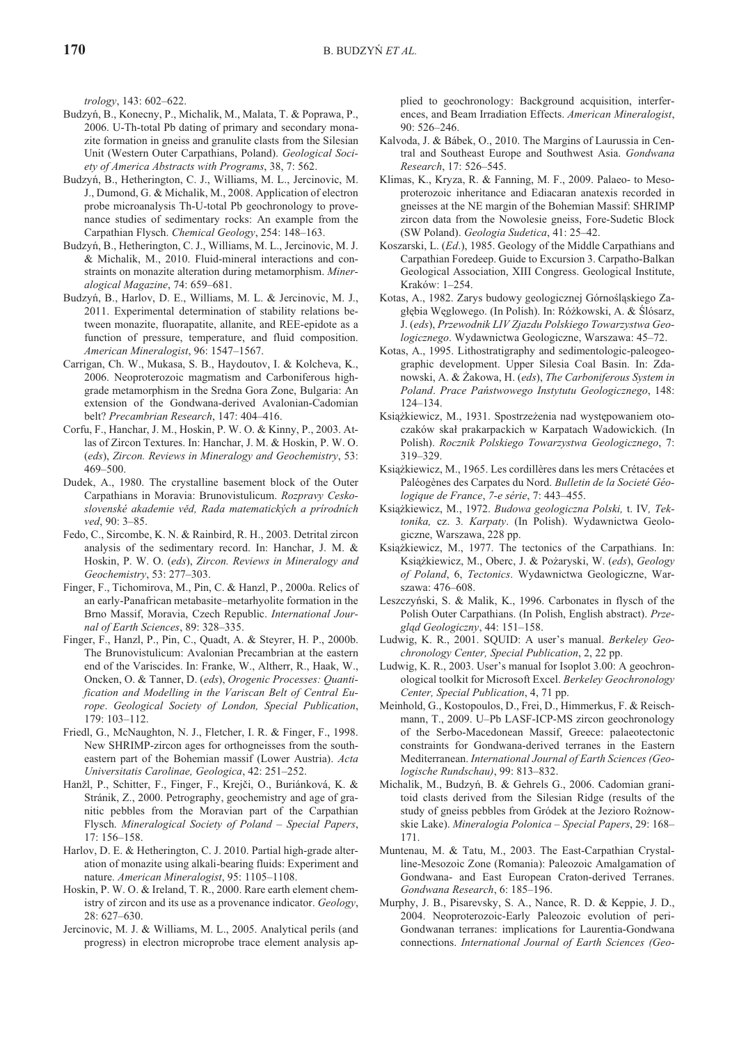*trol ogy*, 143: 602–622.

- Budzyñ, B., Konecny, P., Michalik, M., Malata, T. & Poprawa, P., 2006. U-Th-total Pb dating of primary and secondary monazite formation in gneiss and granulite clasts from the Silesian Unit (Western Outer Carpathians, Poland). *Geological Soci*ety of America Abstracts with Programs, 38, 7: 562.
- Budzyń, B., Hetherington, C. J., Williams, M. L., Jercinovic, M. J., Dumond, G. & Michalik, M., 2008. Application of electron probe microanalysis Th-U-total Pb geochronology to provenance studies of sedimentary rocks: An example from the Carpathian Flysch. *Chemical Geology*, 254: 148-163.
- Budzyń, B., Hetherington, C. J., Williams, M. L., Jercinovic, M. J. & Michalik, M., 2010. Fluid-mineral interactions and constraints on monazite alteration during metamorphism. *Mineral og i cal Mag a zine*, 74: 659–681.
- Budzyń, B., Harlov, D. E., Williams, M. L. & Jercinovic, M. J., 2011. Experimental determination of stability relations between monazite, fluorapatite, allanite, and REE-epidote as a function of pressure, temperature, and fluid composition. *Amer i can Min er al o gist*, 96: 1547–1567.
- Carrigan, Ch. W., Mukasa, S. B., Haydoutov, I. & Kolcheva, K., 2006. Neoproterozoic magmatism and Carboniferous highgrade metamorphism in the Sredna Gora Zone, Bulgaria: An extension of the Gondwana-derived Avalonian-Cadomian belt? Precambrian Research, 147: 404-416.
- Corfu, F., Hanchar, J. M., Hoskin, P. W. O. & Kinny, P., 2003. At las of Zircon Textures. In: Hanchar, J. M. & Hoskin, P. W. O. (eds), *Zircon. Reviews in Mineralogy and Geochemistry*, 53: 469–500.
- Dudek, A., 1980. The crystalline basement block of the Outer Carpathians in Moravia: Brunovistulicum. *Rozpravy Ceskoslovenské akademie vìd, Rada matematických a prírodních ved*, 90: 3–85.
- Fedo, C., Sircombe, K. N. & Rainbird, R. H., 2003. Detrital zircon analysis of the sedimentary record. In: Hanchar, J. M. & Hoskin, P. W. O. (eds), *Zircon. Reviews in Mineralogy and Geo chem is try*, 53: 277–303.
- Finger, F., Tichomirova, M., Pin, C. & Hanzl, P., 2000a. Relics of an early-Panafrican metabasite–metarhyolite formation in the Brno Massif, Moravia, Czech Republic. *International Journal of Earth Sciences*, 89: 328-335.
- Finger, F., Hanzl, P., Pin, C., Quadt, A. & Steyrer, H. P., 2000b. The Brunovistulicum: Avalonian Precambrian at the eastern end of the Variscides. In: Franke, W., Altherr, R., Haak, W., Oncken, O. & Tanner, D. (eds), Orogenic Processes: Quanti*fication and Modelling in the Variscan Belt of Central Europe. Geological Society of London, Special Publication,* 179: 103–112.
- Friedl, G., McNaughton, N. J., Fletcher, I. R. & Finger, F., 1998. New SHRIMP-zir con ages for orthogneisses from the southeastern part of the Bohemian massif (Lower Austria). *Acta Universitatis Carolinae, Geologica*, 42: 251–252.
- Hanžl, P., Schitter, F., Finger, F., Krejči, O., Buriánková, K. & Stránik, Z., 2000. Petrography, geochemistry and age of granitic pebbles from the Moravian part of the Carpathian Flysch. *Mineralogical Society of Poland – Special Papers*, 17: 156–158.
- Harlov, D. E. & Hetherington, C. J. 2010. Partial high-grade alteration of monazite using alkali-bearing fluids: Experiment and nature. *American Mineralogist*, 95: 1105–1108.
- Hoskin, P. W. O. & Ireland, T. R., 2000. Rare earth element chemistry of zircon and its use as a provenance indicator. *Geology*, 28: 627–630.
- Jercinovic, M. J. & Williams, M. L., 2005. Analytical perils (and progress) in electron microprobe trace element analysis ap-

plied to geochronology: Background acquisition, interferences, and Beam Irradiation Effects. *American Mineralogist*, 90: 526–246.

- Kalvoda, J. & Bábek, O., 2010. The Margins of Laurussia in Central and Southeast Europe and Southwest Asia. *Gondwana Re search*, 17: 526–545.
- Klimas, K., Kryza, R. & Fanning, M. F., 2009. Palaeo- to Mesoproterozoic inheritance and Ediacaran anatexis recorded in gneisses at the NE margin of the Bohemian Massif: SHRIMP zircon data from the Nowolesie gneiss, Fore-Sudetic Block (SW Poland). *Geologia Sudetica*, 41: 25-42.
- Koszarski, L. (*Ed.*), 1985. Geology of the Middle Carpathians and Carpathian Foredeep. Guide to Excursion 3. Carpatho-Balkan Geological Association, XIII Congress. Geological Institute, Kraków: 1–254.
- Kotas, A., 1982. Zarys budowy geologicznej Górnośląskiego Zagłębia Węglowego. (In Polish). In: Różkowski, A. & Ślósarz, J. (*eds*), *Przewodnik LIV Zjazdu Polskiego Towarzystwa Geologicznego*. Wydawnictwa Geologiczne, Warszawa: 45–72.
- Kotas, A., 1995. Lithostratigraphy and sedimentologic-paleogeographic development. Upper Silesia Coal Basin. In: Zdanowski, A. & ¯akowa, H. (*eds*), *The Car bon if er ous Sys tem in Po land*. *Prace Pañstwowego Instytutu Geologicznego*, 148: 124–134.
- Książkiewicz, M., 1931. Spostrzeżenia nad występowaniem otoczaków skał prakarpackich w Karpatach Wadowickich. (In Pol ish). *Rocznik Polskiego Towarzystwa Geologicznego*, 7: 319–329.
- Książkiewicz, M., 1965. Les cordillères dans les mers Crétacées et Paléogènes des Carpates du Nord. Bulletin de la Societé Géo*logique de France*, *7-e série*, 7: 443–455.
- Książkiewicz, M., 1972. Budowa geologiczna Polski, t. IV, Tektonika, cz. 3*. Karpaty*. (In Polish). Wydawnictwa Geologiczne, Warszawa, 228 pp.
- Książkiewicz, M., 1977. The tectonics of the Carpathians. In: Książkiewicz, M., Oberc, J. & Pożaryski, W. (eds), Geology *of Po land*, 6, *Tec ton ics*. Wydawnictwa Geologiczne, Warszawa: 476–608.
- Leszczyński, S. & Malik, K., 1996. Carbonates in flysch of the Polish Outer Carpathians. (In Polish, English abstract). *Przegl¹d Geologiczny*, 44: 151–158.
- Ludwig, K. R., 2001. SQUID: A user's manual. *Berkeley Geochron ol ogy Cen ter, Spe cial Pub li ca tion*, 2, 22 pp.
- Ludwig, K. R., 2003. User's manual for Isoplot 3.00: A geochronological toolkit for Microsoft Excel. *Berkeley Geochronology Center, Special Publication, 4, 71 pp.*
- Meinhold, G., Kostopoulos, D., Frei, D., Himmerkus, F. & Reischmann, T., 2009. U–Pb LASF-ICP-MS zircon geochronology of the Serbo-Macedonean Massif, Greece: palaeotectonic constraints for Gondwana-derived terranes in the Eastern Mediterranean. *International Journal of Earth Sciences (Geologische Rundschau)*, 99: 813–832.
- Michalik, M., Budzyñ, B. & Gehrels G., 2006. Cadomian granitoid clasts derived from the Silesian Ridge (results of the study of gneiss pebbles from Gródek at the Jezioro Rożnowskie Lake). *Mineralogia Polonica – Special Papers*, 29: 168– 171.
- Muntenau, M. & Tatu, M., 2003. The East-Carpathian Crystalline-Mesozoic Zone (Romania): Paleozoic Amalgamation of Gondwana- and East European Craton-derived Terranes. *Gondwana Re search*, 6: 185–196.
- Murphy, J. B., Pisarevsky, S. A., Nance, R. D. & Keppie, J. D., 2004. Neoproterozoic-Early Paleozoic evolution of peri-Gondwanan terranes: implications for Laurentia-Gondwana connections. *International Journal of Earth Sciences (Geo-*